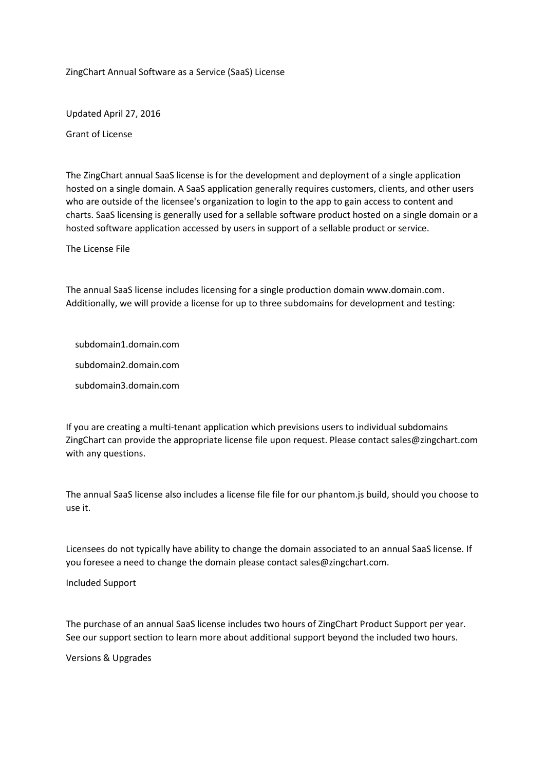ZingChart Annual Software as a Service (SaaS) License

Updated April 27, 2016

Grant of License

The ZingChart annual SaaS license is for the development and deployment of a single application hosted on a single domain. A SaaS application generally requires customers, clients, and other users who are outside of the licensee's organization to login to the app to gain access to content and charts. SaaS licensing is generally used for a sellable software product hosted on a single domain or a hosted software application accessed by users in support of a sellable product or service.

The License File

The annual SaaS license includes licensing for a single production domain www.domain.com. Additionally, we will provide a license for up to three subdomains for development and testing:

subdomain1.domain.com

subdomain2.domain.com

subdomain3.domain.com

If you are creating a multi-tenant application which previsions users to individual subdomains ZingChart can provide the appropriate license file upon request. Please contact sales@zingchart.com with any questions.

The annual SaaS license also includes a license file file for our phantom.js build, should you choose to use it.

Licensees do not typically have ability to change the domain associated to an annual SaaS license. If you foresee a need to change the domain please contact sales@zingchart.com.

Included Support

The purchase of an annual SaaS license includes two hours of ZingChart Product Support per year. See our support section to learn more about additional support beyond the included two hours.

Versions & Upgrades